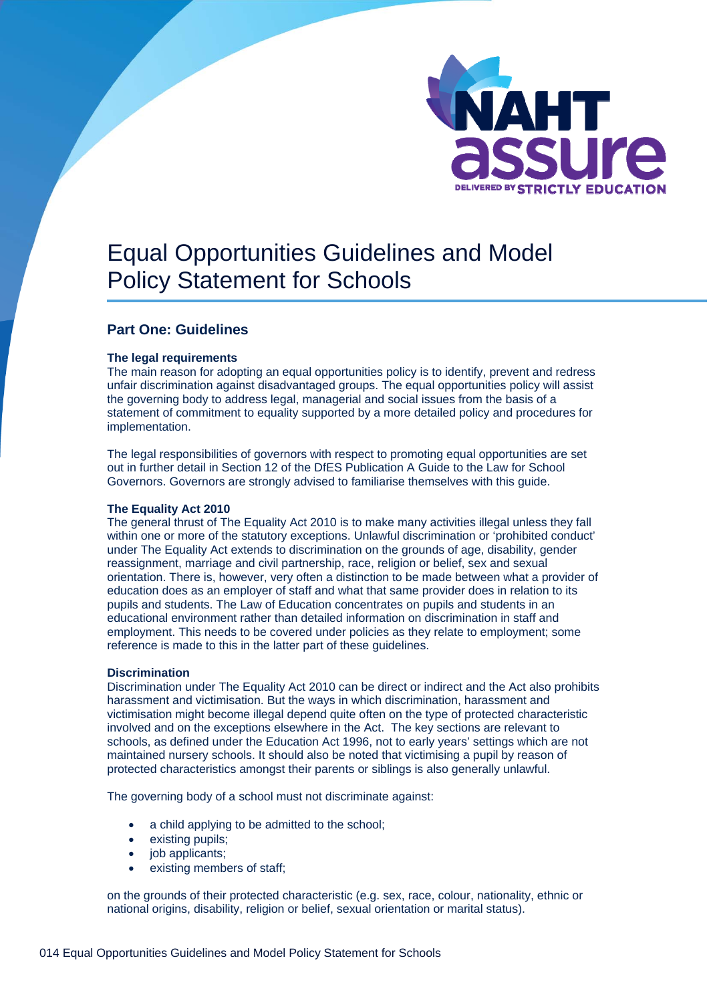

# Equal Opportunities Guidelines and Model Policy Statement for Schools

# **Part One: Guidelines**

# **The legal requirements**

The main reason for adopting an equal opportunities policy is to identify, prevent and redress unfair discrimination against disadvantaged groups. The equal opportunities policy will assist the governing body to address legal, managerial and social issues from the basis of a statement of commitment to equality supported by a more detailed policy and procedures for implementation.

The legal responsibilities of governors with respect to promoting equal opportunities are set out in further detail in Section 12 of the DfES Publication A Guide to the Law for School Governors. Governors are strongly advised to familiarise themselves with this guide.

### **The Equality Act 2010**

The general thrust of The Equality Act 2010 is to make many activities illegal unless they fall within one or more of the statutory exceptions. Unlawful discrimination or 'prohibited conduct' under The Equality Act extends to discrimination on the grounds of age, disability, gender reassignment, marriage and civil partnership, race, religion or belief, sex and sexual orientation. There is, however, very often a distinction to be made between what a provider of education does as an employer of staff and what that same provider does in relation to its pupils and students. The Law of Education concentrates on pupils and students in an educational environment rather than detailed information on discrimination in staff and employment. This needs to be covered under policies as they relate to employment; some reference is made to this in the latter part of these guidelines.

### **Discrimination**

Discrimination under The Equality Act 2010 can be direct or indirect and the Act also prohibits harassment and victimisation. But the ways in which discrimination, harassment and victimisation might become illegal depend quite often on the type of protected characteristic involved and on the exceptions elsewhere in the Act. The key sections are relevant to schools, as defined under the Education Act 1996, not to early years' settings which are not maintained nursery schools. It should also be noted that victimising a pupil by reason of protected characteristics amongst their parents or siblings is also generally unlawful.

The governing body of a school must not discriminate against:

- a child applying to be admitted to the school;
- existing pupils;
- job applicants;
- existing members of staff;

on the grounds of their protected characteristic (e.g. sex, race, colour, nationality, ethnic or national origins, disability, religion or belief, sexual orientation or marital status).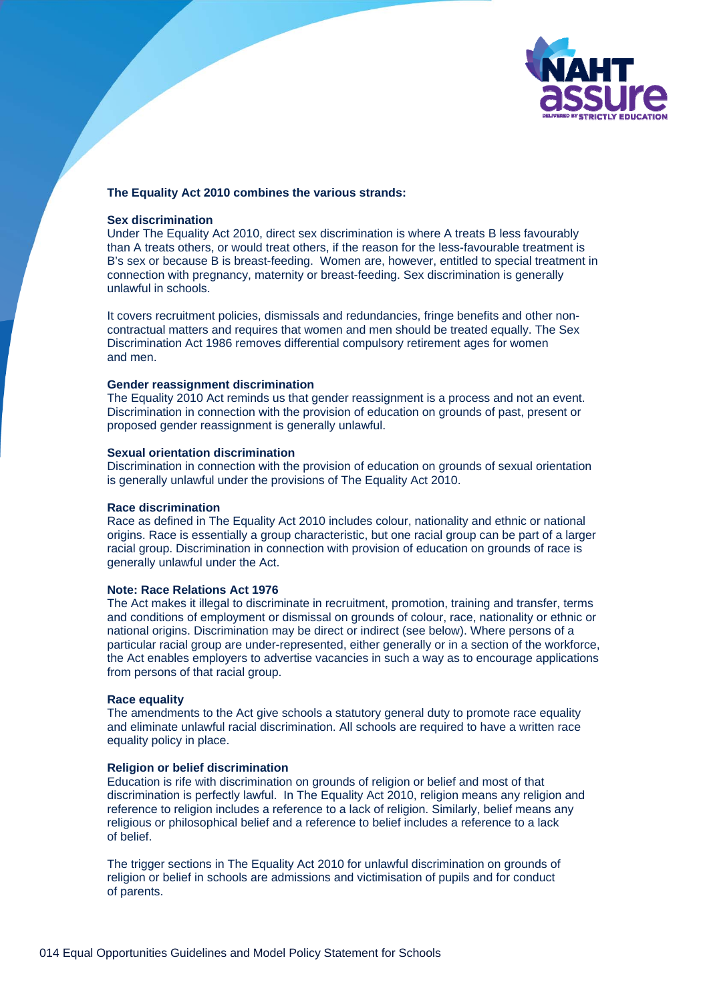

## **The Equality Act 2010 combines the various strands:**

#### **Sex discrimination**

Under The Equality Act 2010, direct sex discrimination is where A treats B less favourably than A treats others, or would treat others, if the reason for the less-favourable treatment is B's sex or because B is breast-feeding. Women are, however, entitled to special treatment in connection with pregnancy, maternity or breast-feeding. Sex discrimination is generally unlawful in schools.

It covers recruitment policies, dismissals and redundancies, fringe benefits and other noncontractual matters and requires that women and men should be treated equally. The Sex Discrimination Act 1986 removes differential compulsory retirement ages for women and men.

## **Gender reassignment discrimination**

The Equality 2010 Act reminds us that gender reassignment is a process and not an event. Discrimination in connection with the provision of education on grounds of past, present or proposed gender reassignment is generally unlawful.

### **Sexual orientation discrimination**

Discrimination in connection with the provision of education on grounds of sexual orientation is generally unlawful under the provisions of The Equality Act 2010.

#### **Race discrimination**

Race as defined in The Equality Act 2010 includes colour, nationality and ethnic or national origins. Race is essentially a group characteristic, but one racial group can be part of a larger racial group. Discrimination in connection with provision of education on grounds of race is generally unlawful under the Act.

#### **Note: Race Relations Act 1976**

The Act makes it illegal to discriminate in recruitment, promotion, training and transfer, terms and conditions of employment or dismissal on grounds of colour, race, nationality or ethnic or national origins. Discrimination may be direct or indirect (see below). Where persons of a particular racial group are under-represented, either generally or in a section of the workforce, the Act enables employers to advertise vacancies in such a way as to encourage applications from persons of that racial group.

### **Race equality**

The amendments to the Act give schools a statutory general duty to promote race equality and eliminate unlawful racial discrimination. All schools are required to have a written race equality policy in place.

#### **Religion or belief discrimination**

Education is rife with discrimination on grounds of religion or belief and most of that discrimination is perfectly lawful. In The Equality Act 2010, religion means any religion and reference to religion includes a reference to a lack of religion. Similarly, belief means any religious or philosophical belief and a reference to belief includes a reference to a lack of belief.

The trigger sections in The Equality Act 2010 for unlawful discrimination on grounds of religion or belief in schools are admissions and victimisation of pupils and for conduct of parents.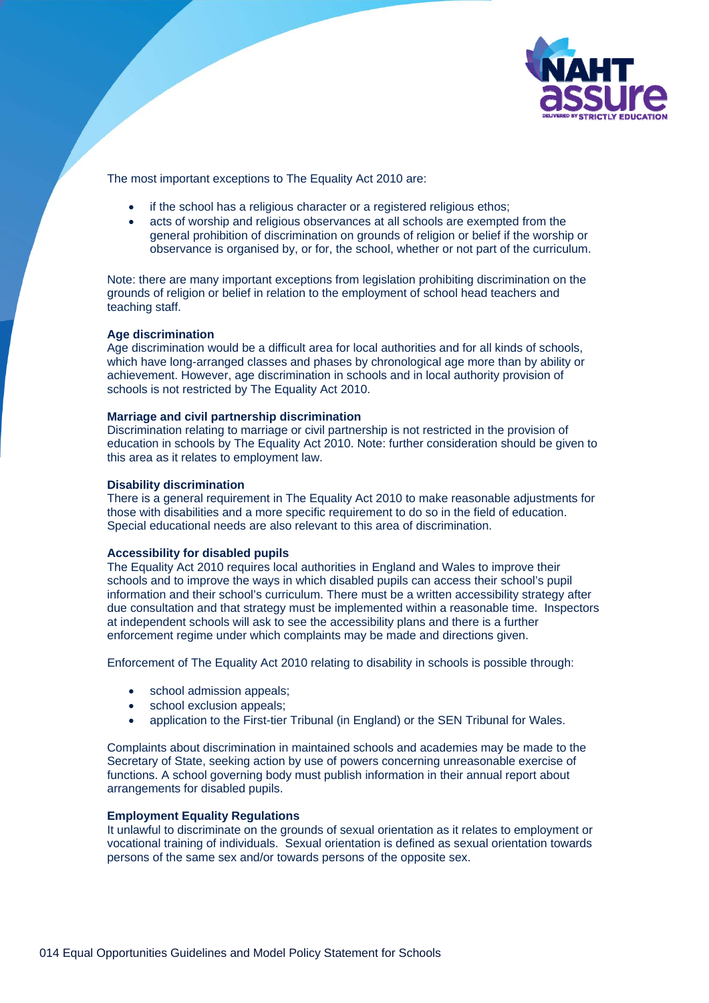

The most important exceptions to The Equality Act 2010 are:

- if the school has a religious character or a registered religious ethos;
- acts of worship and religious observances at all schools are exempted from the general prohibition of discrimination on grounds of religion or belief if the worship or observance is organised by, or for, the school, whether or not part of the curriculum.

Note: there are many important exceptions from legislation prohibiting discrimination on the grounds of religion or belief in relation to the employment of school head teachers and teaching staff.

# **Age discrimination**

Age discrimination would be a difficult area for local authorities and for all kinds of schools, which have long-arranged classes and phases by chronological age more than by ability or achievement. However, age discrimination in schools and in local authority provision of schools is not restricted by The Equality Act 2010.

### **Marriage and civil partnership discrimination**

Discrimination relating to marriage or civil partnership is not restricted in the provision of education in schools by The Equality Act 2010. Note: further consideration should be given to this area as it relates to employment law.

### **Disability discrimination**

There is a general requirement in The Equality Act 2010 to make reasonable adjustments for those with disabilities and a more specific requirement to do so in the field of education. Special educational needs are also relevant to this area of discrimination.

### **Accessibility for disabled pupils**

The Equality Act 2010 requires local authorities in England and Wales to improve their schools and to improve the ways in which disabled pupils can access their school's pupil information and their school's curriculum. There must be a written accessibility strategy after due consultation and that strategy must be implemented within a reasonable time. Inspectors at independent schools will ask to see the accessibility plans and there is a further enforcement regime under which complaints may be made and directions given.

Enforcement of The Equality Act 2010 relating to disability in schools is possible through:

- school admission appeals;
- school exclusion appeals;
- application to the First-tier Tribunal (in England) or the SEN Tribunal for Wales.

Complaints about discrimination in maintained schools and academies may be made to the Secretary of State, seeking action by use of powers concerning unreasonable exercise of functions. A school governing body must publish information in their annual report about arrangements for disabled pupils.

### **Employment Equality Regulations**

It unlawful to discriminate on the grounds of sexual orientation as it relates to employment or vocational training of individuals. Sexual orientation is defined as sexual orientation towards persons of the same sex and/or towards persons of the opposite sex.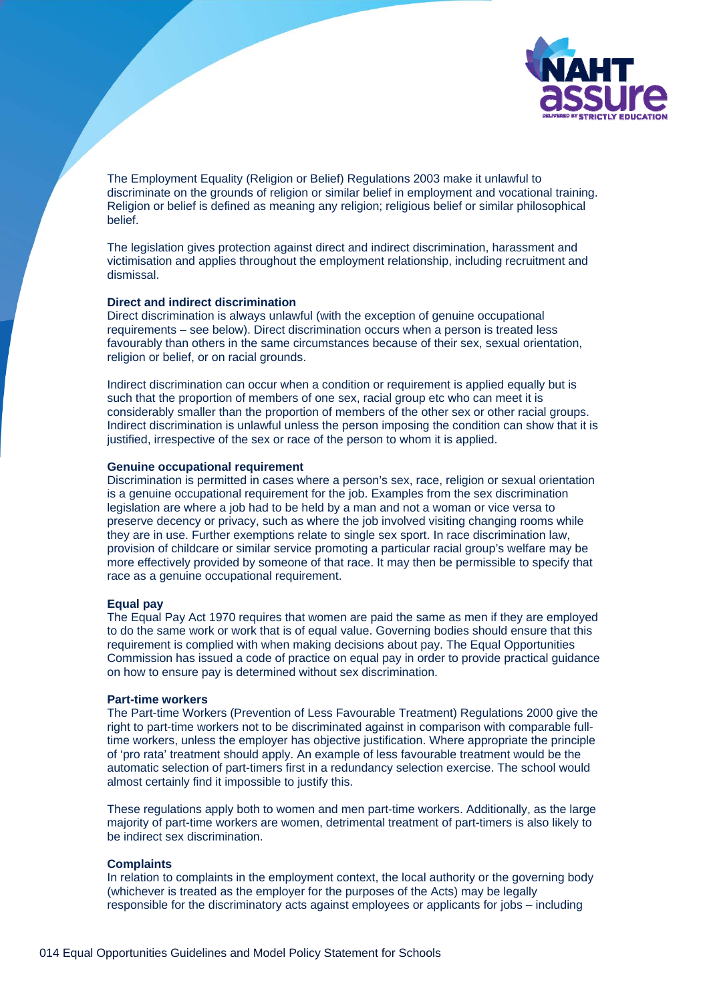

The Employment Equality (Religion or Belief) Regulations 2003 make it unlawful to discriminate on the grounds of religion or similar belief in employment and vocational training. Religion or belief is defined as meaning any religion; religious belief or similar philosophical belief.

The legislation gives protection against direct and indirect discrimination, harassment and victimisation and applies throughout the employment relationship, including recruitment and dismissal.

#### **Direct and indirect discrimination**

Direct discrimination is always unlawful (with the exception of genuine occupational requirements – see below). Direct discrimination occurs when a person is treated less favourably than others in the same circumstances because of their sex, sexual orientation, religion or belief, or on racial grounds.

Indirect discrimination can occur when a condition or requirement is applied equally but is such that the proportion of members of one sex, racial group etc who can meet it is considerably smaller than the proportion of members of the other sex or other racial groups. Indirect discrimination is unlawful unless the person imposing the condition can show that it is justified, irrespective of the sex or race of the person to whom it is applied.

#### **Genuine occupational requirement**

Discrimination is permitted in cases where a person's sex, race, religion or sexual orientation is a genuine occupational requirement for the job. Examples from the sex discrimination legislation are where a job had to be held by a man and not a woman or vice versa to preserve decency or privacy, such as where the job involved visiting changing rooms while they are in use. Further exemptions relate to single sex sport. In race discrimination law, provision of childcare or similar service promoting a particular racial group's welfare may be more effectively provided by someone of that race. It may then be permissible to specify that race as a genuine occupational requirement.

### **Equal pay**

The Equal Pay Act 1970 requires that women are paid the same as men if they are employed to do the same work or work that is of equal value. Governing bodies should ensure that this requirement is complied with when making decisions about pay. The Equal Opportunities Commission has issued a code of practice on equal pay in order to provide practical guidance on how to ensure pay is determined without sex discrimination.

#### **Part-time workers**

The Part-time Workers (Prevention of Less Favourable Treatment) Regulations 2000 give the right to part-time workers not to be discriminated against in comparison with comparable fulltime workers, unless the employer has objective justification. Where appropriate the principle of 'pro rata' treatment should apply. An example of less favourable treatment would be the automatic selection of part-timers first in a redundancy selection exercise. The school would almost certainly find it impossible to justify this.

These regulations apply both to women and men part-time workers. Additionally, as the large majority of part-time workers are women, detrimental treatment of part-timers is also likely to be indirect sex discrimination.

#### **Complaints**

In relation to complaints in the employment context, the local authority or the governing body (whichever is treated as the employer for the purposes of the Acts) may be legally responsible for the discriminatory acts against employees or applicants for jobs – including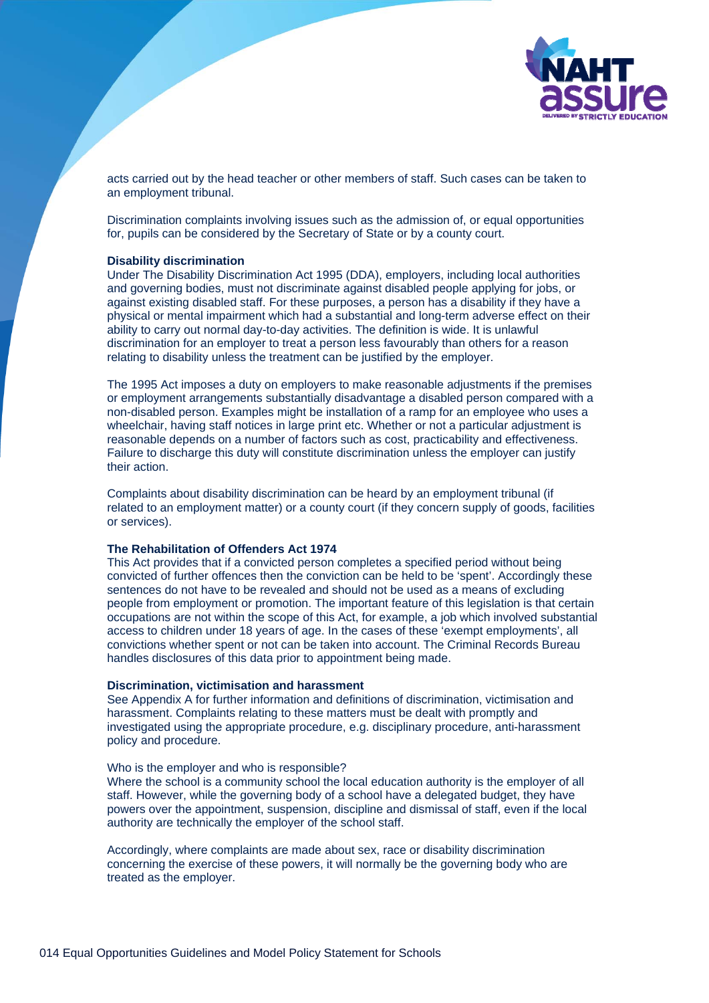

acts carried out by the head teacher or other members of staff. Such cases can be taken to an employment tribunal.

Discrimination complaints involving issues such as the admission of, or equal opportunities for, pupils can be considered by the Secretary of State or by a county court.

#### **Disability discrimination**

Under The Disability Discrimination Act 1995 (DDA), employers, including local authorities and governing bodies, must not discriminate against disabled people applying for jobs, or against existing disabled staff. For these purposes, a person has a disability if they have a physical or mental impairment which had a substantial and long-term adverse effect on their ability to carry out normal day-to-day activities. The definition is wide. It is unlawful discrimination for an employer to treat a person less favourably than others for a reason relating to disability unless the treatment can be justified by the employer.

The 1995 Act imposes a duty on employers to make reasonable adjustments if the premises or employment arrangements substantially disadvantage a disabled person compared with a non-disabled person. Examples might be installation of a ramp for an employee who uses a wheelchair, having staff notices in large print etc. Whether or not a particular adjustment is reasonable depends on a number of factors such as cost, practicability and effectiveness. Failure to discharge this duty will constitute discrimination unless the employer can justify their action.

Complaints about disability discrimination can be heard by an employment tribunal (if related to an employment matter) or a county court (if they concern supply of goods, facilities or services).

#### **The Rehabilitation of Offenders Act 1974**

This Act provides that if a convicted person completes a specified period without being convicted of further offences then the conviction can be held to be 'spent'. Accordingly these sentences do not have to be revealed and should not be used as a means of excluding people from employment or promotion. The important feature of this legislation is that certain occupations are not within the scope of this Act, for example, a job which involved substantial access to children under 18 years of age. In the cases of these 'exempt employments', all convictions whether spent or not can be taken into account. The Criminal Records Bureau handles disclosures of this data prior to appointment being made.

### **Discrimination, victimisation and harassment**

See Appendix A for further information and definitions of discrimination, victimisation and harassment. Complaints relating to these matters must be dealt with promptly and investigated using the appropriate procedure, e.g. disciplinary procedure, anti-harassment policy and procedure.

#### Who is the employer and who is responsible?

Where the school is a community school the local education authority is the employer of all staff. However, while the governing body of a school have a delegated budget, they have powers over the appointment, suspension, discipline and dismissal of staff, even if the local authority are technically the employer of the school staff.

Accordingly, where complaints are made about sex, race or disability discrimination concerning the exercise of these powers, it will normally be the governing body who are treated as the employer.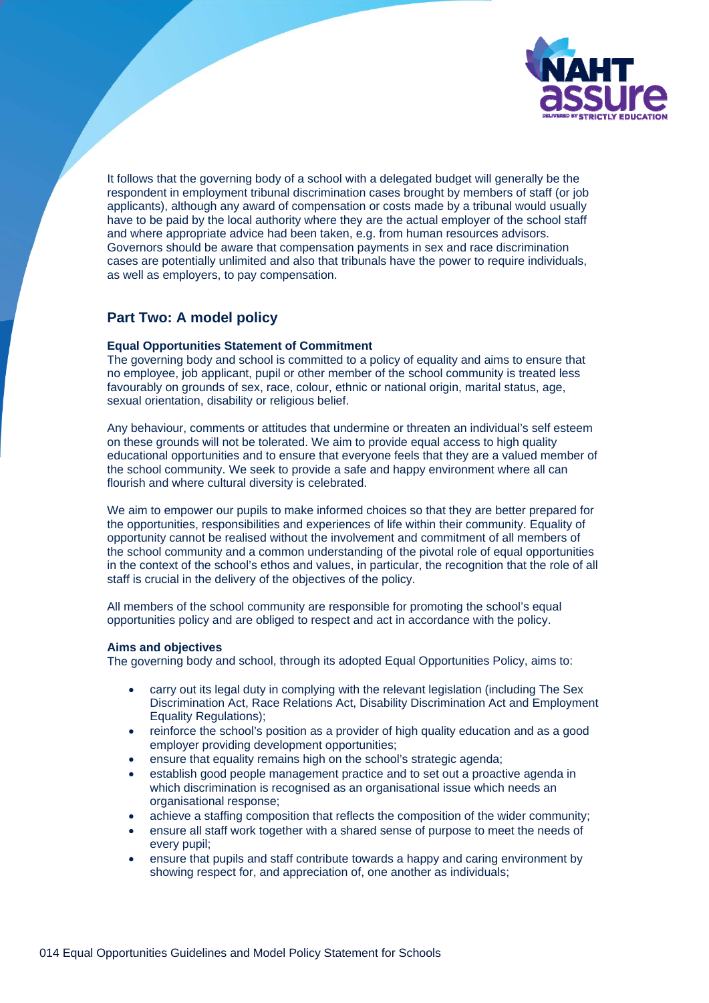

It follows that the governing body of a school with a delegated budget will generally be the respondent in employment tribunal discrimination cases brought by members of staff (or job applicants), although any award of compensation or costs made by a tribunal would usually have to be paid by the local authority where they are the actual employer of the school staff and where appropriate advice had been taken, e.g. from human resources advisors. Governors should be aware that compensation payments in sex and race discrimination cases are potentially unlimited and also that tribunals have the power to require individuals, as well as employers, to pay compensation.

# **Part Two: A model policy**

### **Equal Opportunities Statement of Commitment**

The governing body and school is committed to a policy of equality and aims to ensure that no employee, job applicant, pupil or other member of the school community is treated less favourably on grounds of sex, race, colour, ethnic or national origin, marital status, age, sexual orientation, disability or religious belief.

Any behaviour, comments or attitudes that undermine or threaten an individual's self esteem on these grounds will not be tolerated. We aim to provide equal access to high quality educational opportunities and to ensure that everyone feels that they are a valued member of the school community. We seek to provide a safe and happy environment where all can flourish and where cultural diversity is celebrated.

We aim to empower our pupils to make informed choices so that they are better prepared for the opportunities, responsibilities and experiences of life within their community. Equality of opportunity cannot be realised without the involvement and commitment of all members of the school community and a common understanding of the pivotal role of equal opportunities in the context of the school's ethos and values, in particular, the recognition that the role of all staff is crucial in the delivery of the objectives of the policy.

All members of the school community are responsible for promoting the school's equal opportunities policy and are obliged to respect and act in accordance with the policy.

### **Aims and objectives**

The governing body and school, through its adopted Equal Opportunities Policy, aims to:

- carry out its legal duty in complying with the relevant legislation (including The Sex Discrimination Act, Race Relations Act, Disability Discrimination Act and Employment Equality Regulations);
- reinforce the school's position as a provider of high quality education and as a good employer providing development opportunities;
- ensure that equality remains high on the school's strategic agenda;
- establish good people management practice and to set out a proactive agenda in which discrimination is recognised as an organisational issue which needs an organisational response;
- achieve a staffing composition that reflects the composition of the wider community;
- ensure all staff work together with a shared sense of purpose to meet the needs of every pupil;
- ensure that pupils and staff contribute towards a happy and caring environment by showing respect for, and appreciation of, one another as individuals;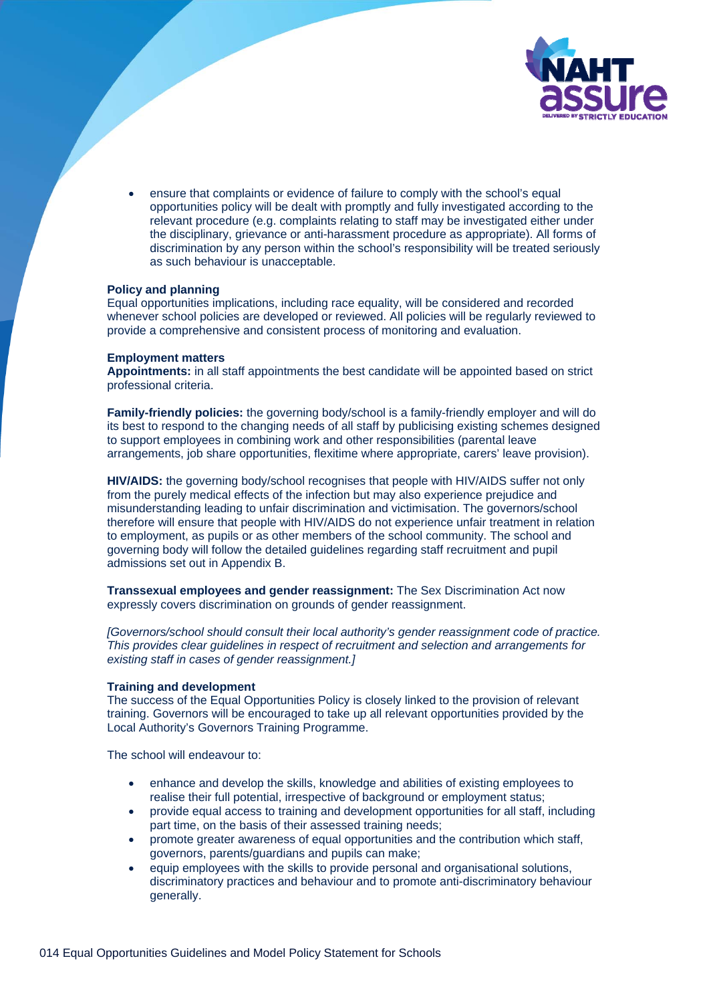

 ensure that complaints or evidence of failure to comply with the school's equal opportunities policy will be dealt with promptly and fully investigated according to the relevant procedure (e.g. complaints relating to staff may be investigated either under the disciplinary, grievance or anti-harassment procedure as appropriate). All forms of discrimination by any person within the school's responsibility will be treated seriously as such behaviour is unacceptable.

# **Policy and planning**

Equal opportunities implications, including race equality, will be considered and recorded whenever school policies are developed or reviewed. All policies will be regularly reviewed to provide a comprehensive and consistent process of monitoring and evaluation.

# **Employment matters**

**Appointments:** in all staff appointments the best candidate will be appointed based on strict professional criteria.

**Family-friendly policies:** the governing body/school is a family-friendly employer and will do its best to respond to the changing needs of all staff by publicising existing schemes designed to support employees in combining work and other responsibilities (parental leave arrangements, job share opportunities, flexitime where appropriate, carers' leave provision).

**HIV/AIDS:** the governing body/school recognises that people with HIV/AIDS suffer not only from the purely medical effects of the infection but may also experience prejudice and misunderstanding leading to unfair discrimination and victimisation. The governors/school therefore will ensure that people with HIV/AIDS do not experience unfair treatment in relation to employment, as pupils or as other members of the school community. The school and governing body will follow the detailed guidelines regarding staff recruitment and pupil admissions set out in Appendix B.

**Transsexual employees and gender reassignment:** The Sex Discrimination Act now expressly covers discrimination on grounds of gender reassignment.

*[Governors/school should consult their local authority's gender reassignment code of practice. This provides clear guidelines in respect of recruitment and selection and arrangements for existing staff in cases of gender reassignment.]* 

### **Training and development**

The success of the Equal Opportunities Policy is closely linked to the provision of relevant training. Governors will be encouraged to take up all relevant opportunities provided by the Local Authority's Governors Training Programme.

The school will endeavour to:

- enhance and develop the skills, knowledge and abilities of existing employees to realise their full potential, irrespective of background or employment status;
- provide equal access to training and development opportunities for all staff, including part time, on the basis of their assessed training needs;
- promote greater awareness of equal opportunities and the contribution which staff, governors, parents/guardians and pupils can make;
- equip employees with the skills to provide personal and organisational solutions, discriminatory practices and behaviour and to promote anti-discriminatory behaviour generally.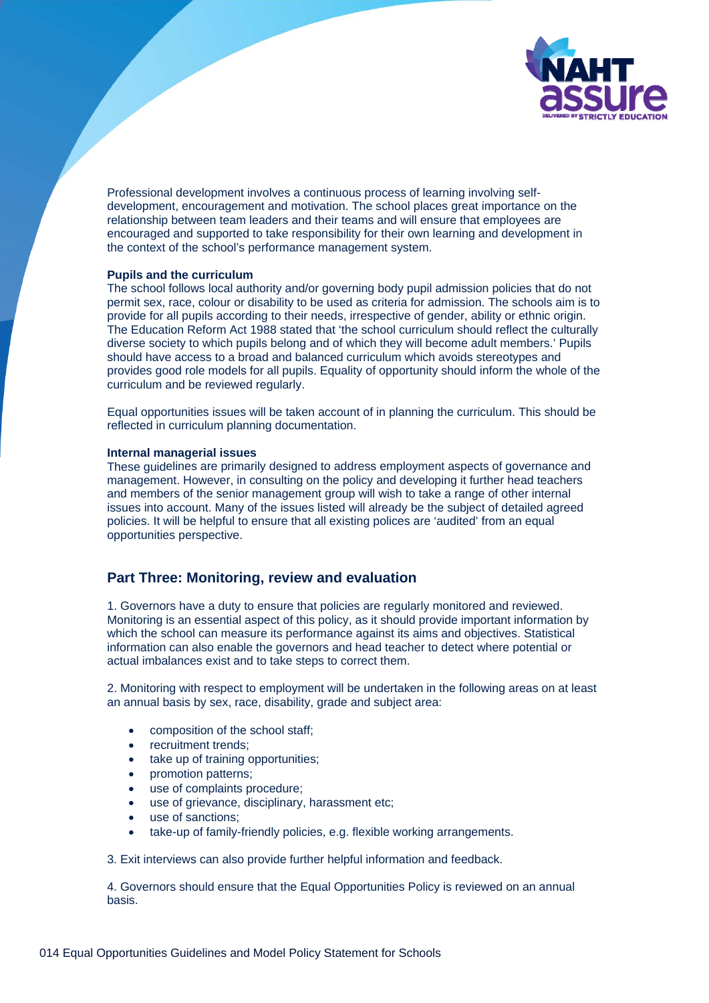

Professional development involves a continuous process of learning involving selfdevelopment, encouragement and motivation. The school places great importance on the relationship between team leaders and their teams and will ensure that employees are encouraged and supported to take responsibility for their own learning and development in the context of the school's performance management system.

# **Pupils and the curriculum**

The school follows local authority and/or governing body pupil admission policies that do not permit sex, race, colour or disability to be used as criteria for admission. The schools aim is to provide for all pupils according to their needs, irrespective of gender, ability or ethnic origin. The Education Reform Act 1988 stated that 'the school curriculum should reflect the culturally diverse society to which pupils belong and of which they will become adult members.' Pupils should have access to a broad and balanced curriculum which avoids stereotypes and provides good role models for all pupils. Equality of opportunity should inform the whole of the curriculum and be reviewed regularly.

Equal opportunities issues will be taken account of in planning the curriculum. This should be reflected in curriculum planning documentation.

### **Internal managerial issues**

These guidelines are primarily designed to address employment aspects of governance and management. However, in consulting on the policy and developing it further head teachers and members of the senior management group will wish to take a range of other internal issues into account. Many of the issues listed will already be the subject of detailed agreed policies. It will be helpful to ensure that all existing polices are 'audited' from an equal opportunities perspective.

# **Part Three: Monitoring, review and evaluation**

1. Governors have a duty to ensure that policies are regularly monitored and reviewed. Monitoring is an essential aspect of this policy, as it should provide important information by which the school can measure its performance against its aims and objectives. Statistical information can also enable the governors and head teacher to detect where potential or actual imbalances exist and to take steps to correct them.

2. Monitoring with respect to employment will be undertaken in the following areas on at least an annual basis by sex, race, disability, grade and subject area:

- composition of the school staff;
- recruitment trends;
- take up of training opportunities;
- promotion patterns;
- use of complaints procedure;
- use of grievance, disciplinary, harassment etc;
- use of sanctions;
- take-up of family-friendly policies, e.g. flexible working arrangements.

3. Exit interviews can also provide further helpful information and feedback.

4. Governors should ensure that the Equal Opportunities Policy is reviewed on an annual basis.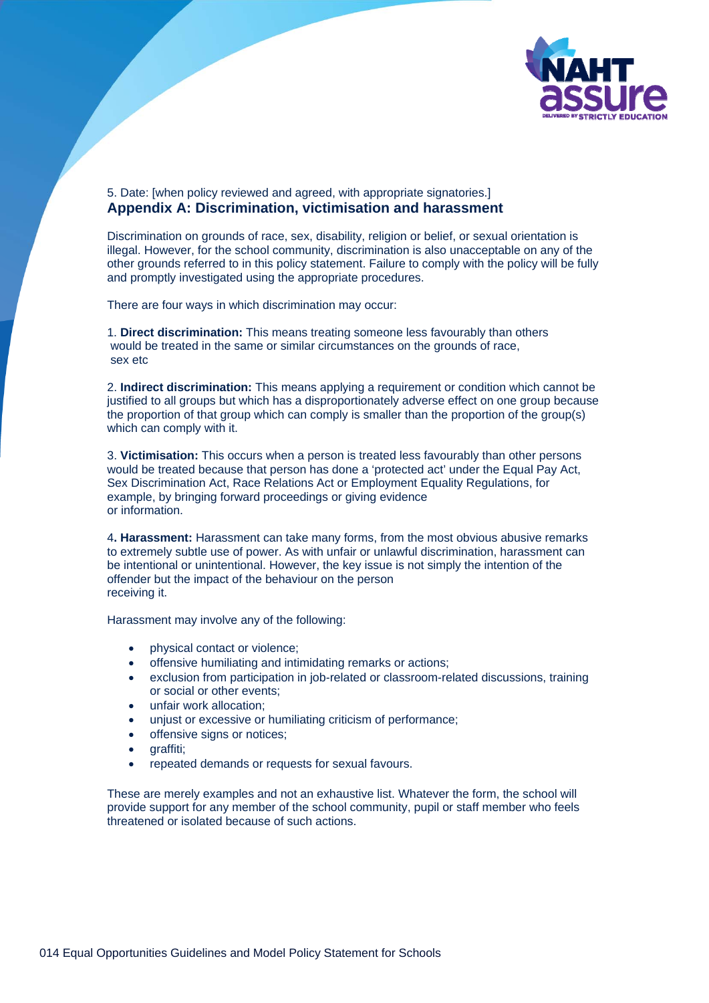

# 5. Date: [when policy reviewed and agreed, with appropriate signatories.] **Appendix A: Discrimination, victimisation and harassment**

Discrimination on grounds of race, sex, disability, religion or belief, or sexual orientation is illegal. However, for the school community, discrimination is also unacceptable on any of the other grounds referred to in this policy statement. Failure to comply with the policy will be fully and promptly investigated using the appropriate procedures.

There are four ways in which discrimination may occur:

1. **Direct discrimination:** This means treating someone less favourably than others would be treated in the same or similar circumstances on the grounds of race, sex etc

2. **Indirect discrimination:** This means applying a requirement or condition which cannot be justified to all groups but which has a disproportionately adverse effect on one group because the proportion of that group which can comply is smaller than the proportion of the group(s) which can comply with it.

3. **Victimisation:** This occurs when a person is treated less favourably than other persons would be treated because that person has done a 'protected act' under the Equal Pay Act, Sex Discrimination Act, Race Relations Act or Employment Equality Regulations, for example, by bringing forward proceedings or giving evidence or information.

4**. Harassment:** Harassment can take many forms, from the most obvious abusive remarks to extremely subtle use of power. As with unfair or unlawful discrimination, harassment can be intentional or unintentional. However, the key issue is not simply the intention of the offender but the impact of the behaviour on the person receiving it.

Harassment may involve any of the following:

- physical contact or violence;
- offensive humiliating and intimidating remarks or actions;
- exclusion from participation in job-related or classroom-related discussions, training or social or other events;
- unfair work allocation;
- unjust or excessive or humiliating criticism of performance;
- offensive signs or notices;
- graffiti;
- repeated demands or requests for sexual favours.

These are merely examples and not an exhaustive list. Whatever the form, the school will provide support for any member of the school community, pupil or staff member who feels threatened or isolated because of such actions.